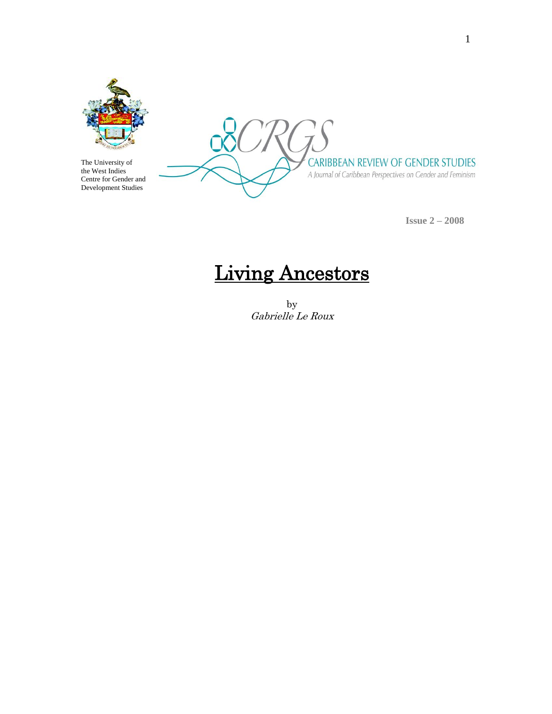

The University of the West Indies Centre for Gender and Development Studies

CARIBBEAN REVIEW OF GENDER STUDIES A Journal of Caribbean Perspectives on Gender and Feminism

**Issue 2 – 2008**

# Living Ancestors

by Gabrielle Le Roux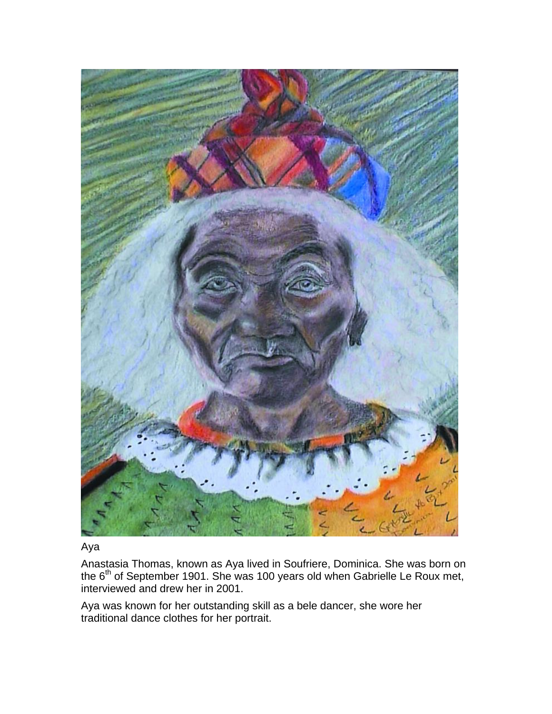

Aya

Anastasia Thomas, known as Aya lived in Soufriere, Dominica. She was born on the  $6<sup>th</sup>$  of September 1901. She was 100 years old when Gabrielle Le Roux met, interviewed and drew her in 2001.

Aya was known for her outstanding skill as a bele dancer, she wore her traditional dance clothes for her portrait.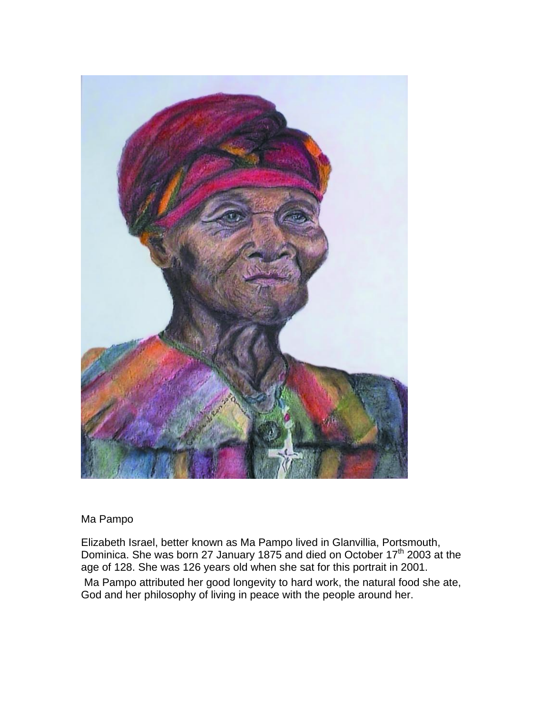

## Ma Pampo

Elizabeth Israel, better known as Ma Pampo lived in Glanvillia, Portsmouth, Dominica. She was born 27 January 1875 and died on October 17<sup>th</sup> 2003 at the age of 128. She was 126 years old when she sat for this portrait in 2001. Ma Pampo attributed her good longevity to hard work, the natural food she ate, God and her philosophy of living in peace with the people around her.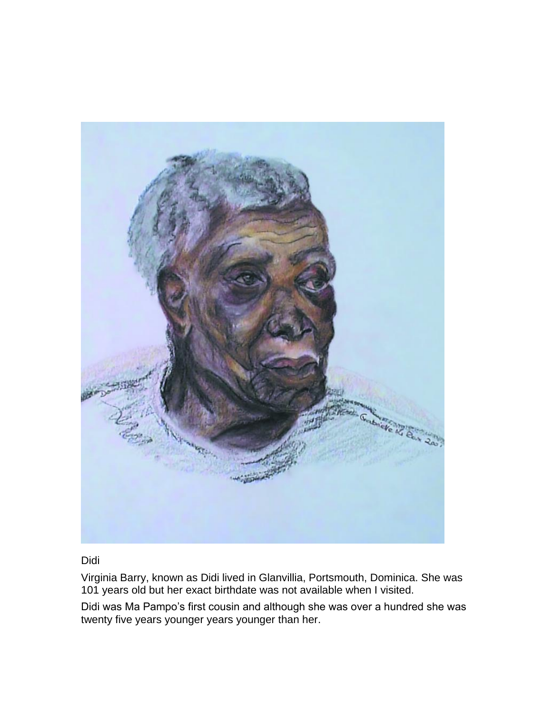

#### Didi

Virginia Barry, known as Didi lived in Glanvillia, Portsmouth, Dominica. She was 101 years old but her exact birthdate was not available when I visited.

Didi was Ma Pampo's first cousin and although she was over a hundred she was twenty five years younger years younger than her.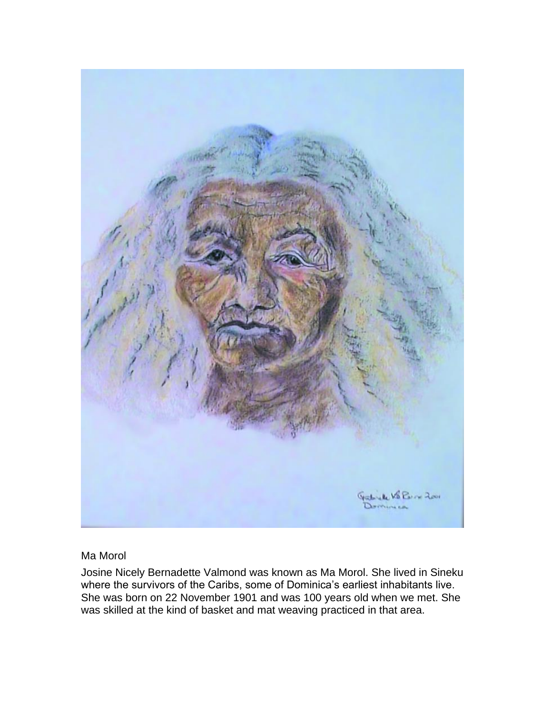

Ma Morol

Josine Nicely Bernadette Valmond was known as Ma Morol. She lived in Sineku where the survivors of the Caribs, some of Dominica's earliest inhabitants live. She was born on 22 November 1901 and was 100 years old when we met. She was skilled at the kind of basket and mat weaving practiced in that area.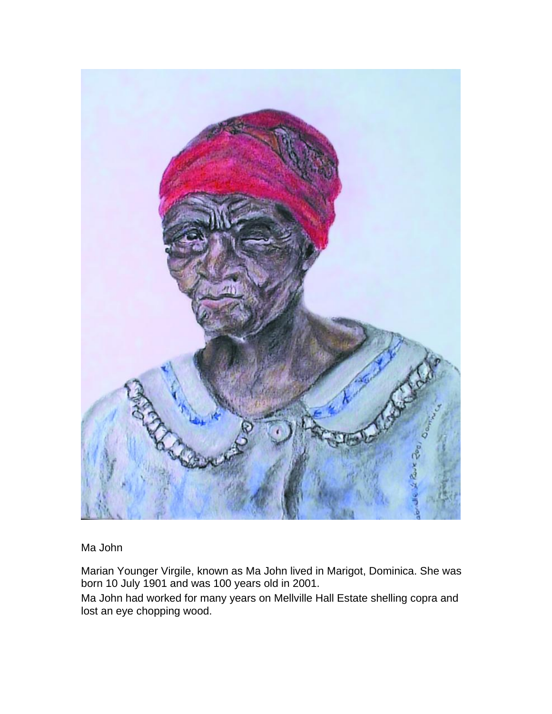

Ma John

Marian Younger Virgile, known as Ma John lived in Marigot, Dominica. She was born 10 July 1901 and was 100 years old in 2001.

Ma John had worked for many years on Mellville Hall Estate shelling copra and lost an eye chopping wood.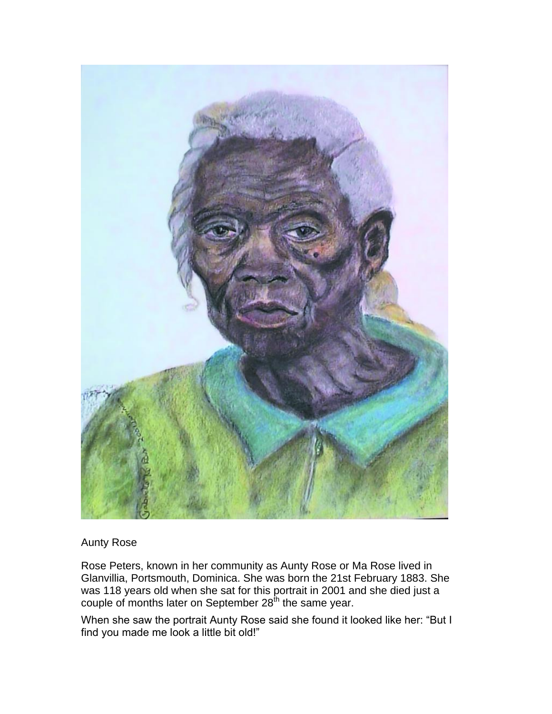

## Aunty Rose

Rose Peters, known in her community as Aunty Rose or Ma Rose lived in Glanvillia, Portsmouth, Dominica. She was born the 21st February 1883. She was 118 years old when she sat for this portrait in 2001 and she died just a couple of months later on September 28<sup>th</sup> the same year.

When she saw the portrait Aunty Rose said she found it looked like her: "But I find you made me look a little bit old!"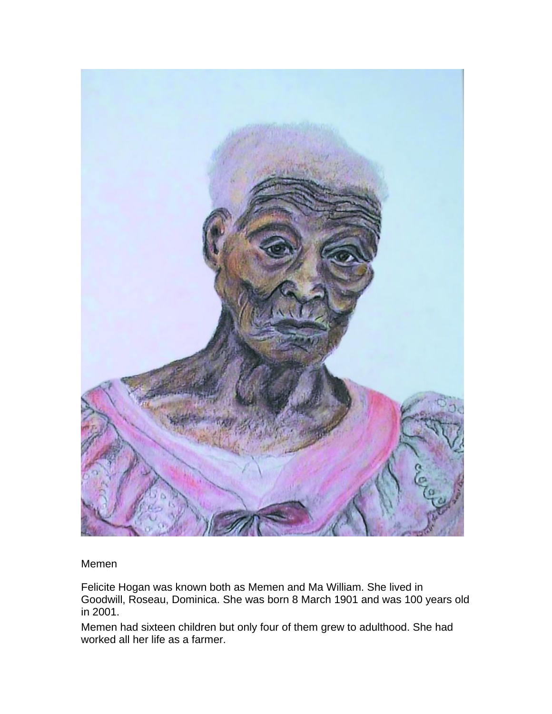

Memen

Felicite Hogan was known both as Memen and Ma William. She lived in Goodwill, Roseau, Dominica. She was born 8 March 1901 and was 100 years old in 2001.

Memen had sixteen children but only four of them grew to adulthood. She had worked all her life as a farmer.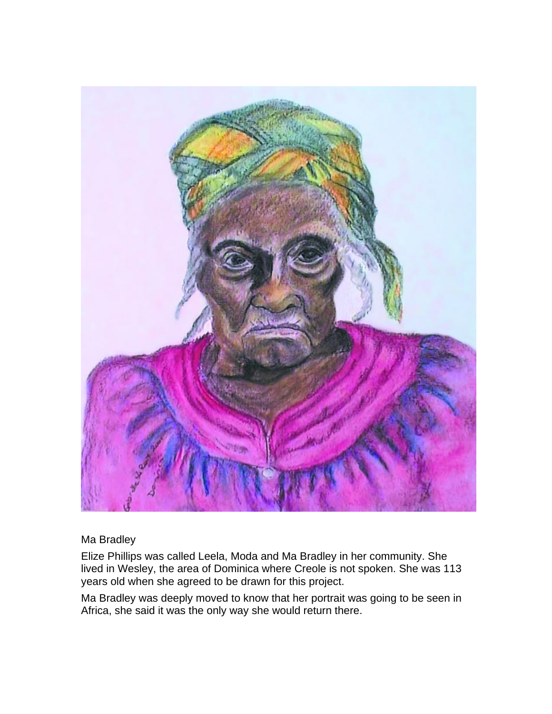

# Ma Bradley

Elize Phillips was called Leela, Moda and Ma Bradley in her community. She lived in Wesley, the area of Dominica where Creole is not spoken. She was 113 years old when she agreed to be drawn for this project.

Ma Bradley was deeply moved to know that her portrait was going to be seen in Africa, she said it was the only way she would return there.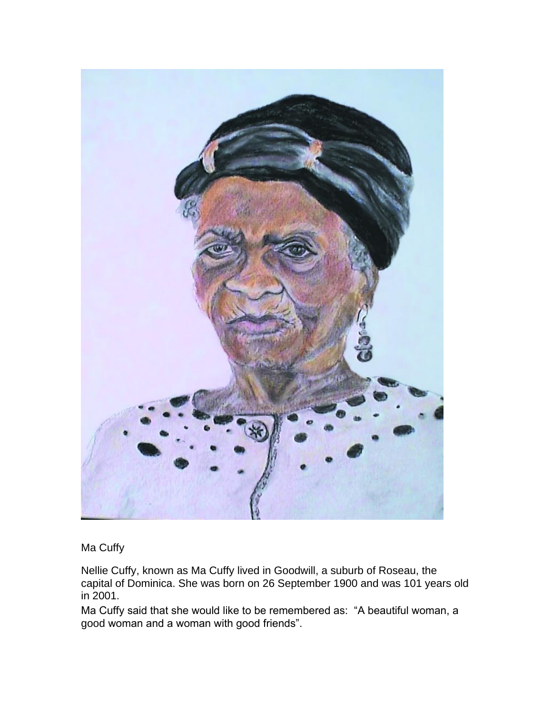

Ma Cuffy

Nellie Cuffy, known as Ma Cuffy lived in Goodwill, a suburb of Roseau, the capital of Dominica. She was born on 26 September 1900 and was 101 years old in 2001.

Ma Cuffy said that she would like to be remembered as: "A beautiful woman, a good woman and a woman with good friends".